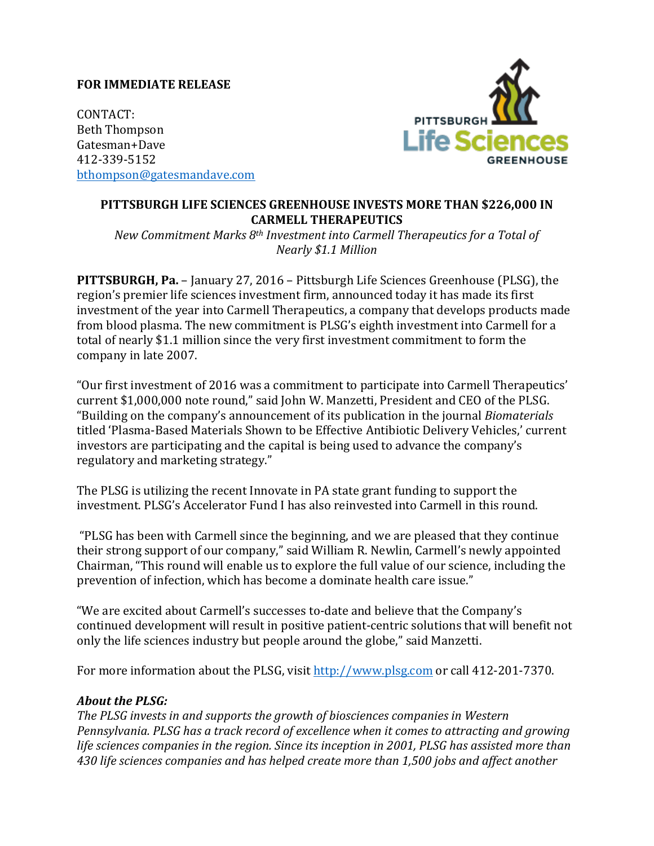## **FOR IMMEDIATE RELEASE**

CONTACT: Beth Thompson Gatesman+Dave 412-339-5152 bthompson@gatesmandave.com



## PITTSBURGH LIFE SCIENCES GREENHOUSE INVESTS MORE THAN \$226,000 IN **CARMELL THERAPEUTICS**

*New Commitment Marks 8<sup>th</sup> Investment into Carmell Therapeutics for a Total of Nearly \$1.1 Million* 

**PITTSBURGH, Pa.** – January 27, 2016 – Pittsburgh Life Sciences Greenhouse (PLSG), the region's premier life sciences investment firm, announced today it has made its first investment of the year into Carmell Therapeutics, a company that develops products made from blood plasma. The new commitment is PLSG's eighth investment into Carmell for a total of nearly \$1.1 million since the very first investment commitment to form the company in late 2007.

"Our first investment of 2016 was a commitment to participate into Carmell Therapeutics' current \$1,000,000 note round," said John W. Manzetti, President and CEO of the PLSG. "Building on the company's announcement of its publication in the journal *Biomaterials* titled 'Plasma-Based Materials Shown to be Effective Antibiotic Delivery Vehicles,' current investors are participating and the capital is being used to advance the company's regulatory and marketing strategy."

The PLSG is utilizing the recent Innovate in PA state grant funding to support the investment. PLSG's Accelerator Fund I has also reinvested into Carmell in this round.

"PLSG has been with Carmell since the beginning, and we are pleased that they continue their strong support of our company," said William R. Newlin, Carmell's newly appointed Chairman, "This round will enable us to explore the full value of our science, including the prevention of infection, which has become a dominate health care issue."

"We are excited about Carmell's successes to-date and believe that the Company's continued development will result in positive patient-centric solutions that will benefit not only the life sciences industry but people around the globe," said Manzetti.

For more information about the PLSG, visit http://www.plsg.com or call 412-201-7370.

## *About the PLSG:*

The PLSG invests in and supports the growth of biosciences companies in Western *Pennsylvania.* PLSG has a track record of excellence when it comes to attracting and growing *life sciences companies in the region. Since its inception in 2001, PLSG has assisted more than* 430 *life sciences companies and has helped create more than 1,500 jobs and affect another*